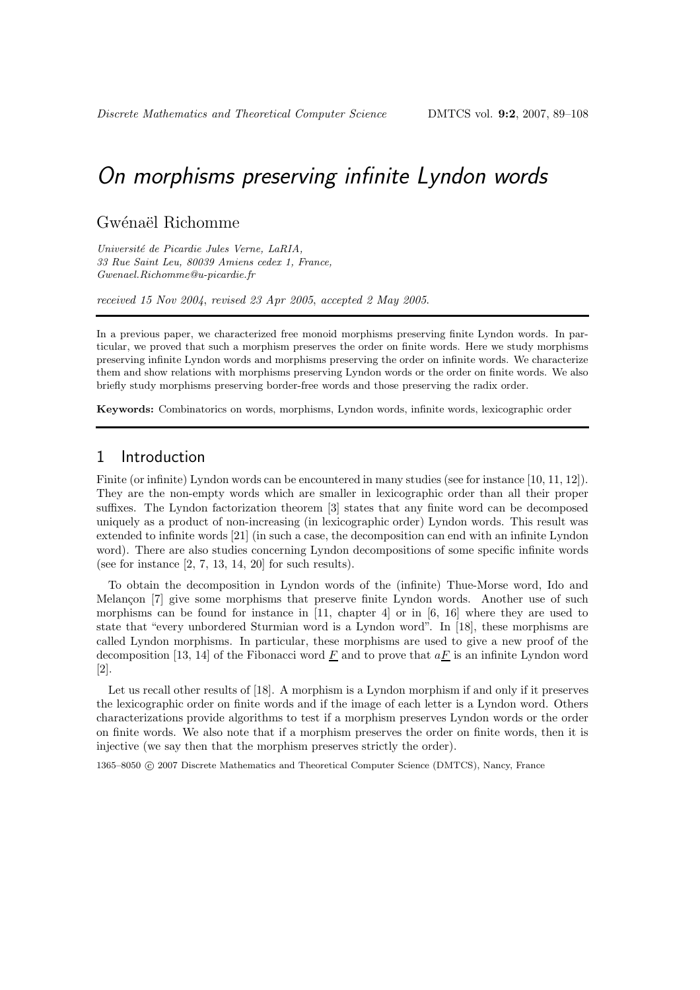### Gwénaël Richomme

Université de Picardie Jules Verne, LaRIA, 33 Rue Saint Leu, 80039 Amiens cedex 1, France, Gwenael.Richomme@u-picardie.fr

received 15 Nov 2004, revised 23 Apr 2005, accepted 2 May 2005.

In a previous paper, we characterized free monoid morphisms preserving finite Lyndon words. In particular, we proved that such a morphism preserves the order on finite words. Here we study morphisms preserving infinite Lyndon words and morphisms preserving the order on infinite words. We characterize them and show relations with morphisms preserving Lyndon words or the order on finite words. We also briefly study morphisms preserving border-free words and those preserving the radix order.

Keywords: Combinatorics on words, morphisms, Lyndon words, infinite words, lexicographic order

## 1 Introduction

Finite (or infinite) Lyndon words can be encountered in many studies (see for instance [10, 11, 12]). They are the non-empty words which are smaller in lexicographic order than all their proper suffixes. The Lyndon factorization theorem [3] states that any finite word can be decomposed uniquely as a product of non-increasing (in lexicographic order) Lyndon words. This result was extended to infinite words [21] (in such a case, the decomposition can end with an infinite Lyndon word). There are also studies concerning Lyndon decompositions of some specific infinite words (see for instance  $[2, 7, 13, 14, 20]$  for such results).

To obtain the decomposition in Lyndon words of the (infinite) Thue-Morse word, Ido and Melançon [7] give some morphisms that preserve finite Lyndon words. Another use of such morphisms can be found for instance in [11, chapter 4] or in [6, 16] where they are used to state that "every unbordered Sturmian word is a Lyndon word". In [18], these morphisms are called Lyndon morphisms. In particular, these morphisms are used to give a new proof of the decomposition [13, 14] of the Fibonacci word F and to prove that  $aF$  is an infinite Lyndon word [2].

Let us recall other results of [18]. A morphism is a Lyndon morphism if and only if it preserves the lexicographic order on finite words and if the image of each letter is a Lyndon word. Others characterizations provide algorithms to test if a morphism preserves Lyndon words or the order on finite words. We also note that if a morphism preserves the order on finite words, then it is injective (we say then that the morphism preserves strictly the order).

1365–8050 c 2007 Discrete Mathematics and Theoretical Computer Science (DMTCS), Nancy, France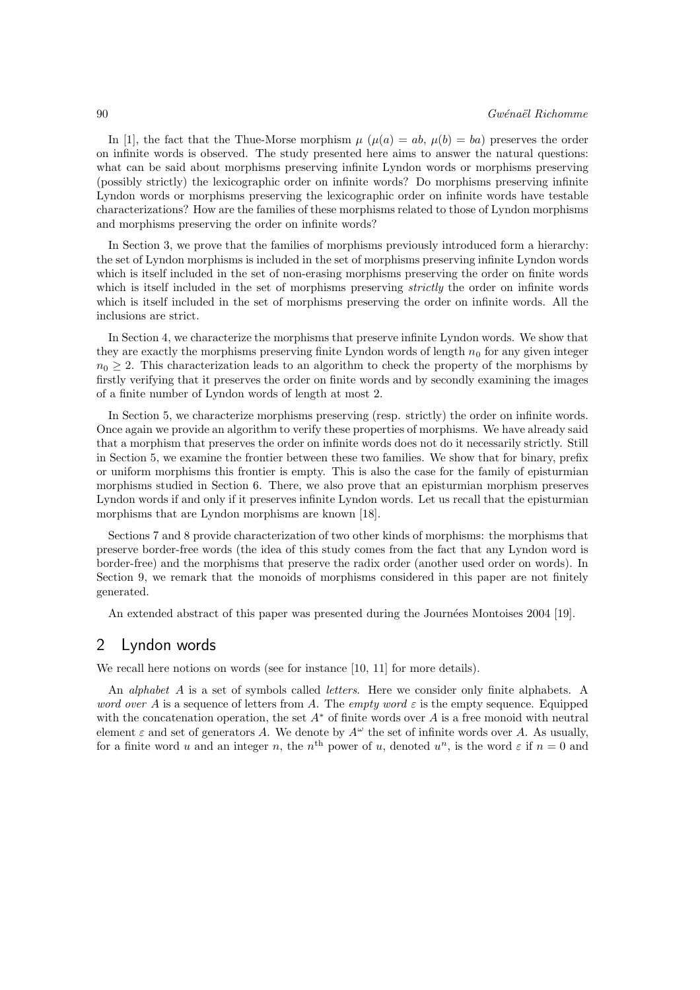In [1], the fact that the Thue-Morse morphism  $\mu$  ( $\mu(a) = ab$ ,  $\mu(b) = ba$ ) preserves the order on infinite words is observed. The study presented here aims to answer the natural questions: what can be said about morphisms preserving infinite Lyndon words or morphisms preserving (possibly strictly) the lexicographic order on infinite words? Do morphisms preserving infinite Lyndon words or morphisms preserving the lexicographic order on infinite words have testable characterizations? How are the families of these morphisms related to those of Lyndon morphisms and morphisms preserving the order on infinite words?

In Section 3, we prove that the families of morphisms previously introduced form a hierarchy: the set of Lyndon morphisms is included in the set of morphisms preserving infinite Lyndon words which is itself included in the set of non-erasing morphisms preserving the order on finite words which is itself included in the set of morphisms preserving *strictly* the order on infinite words which is itself included in the set of morphisms preserving the order on infinite words. All the inclusions are strict.

In Section 4, we characterize the morphisms that preserve infinite Lyndon words. We show that they are exactly the morphisms preserving finite Lyndon words of length  $n_0$  for any given integer  $n_0 \geq 2$ . This characterization leads to an algorithm to check the property of the morphisms by firstly verifying that it preserves the order on finite words and by secondly examining the images of a finite number of Lyndon words of length at most 2.

In Section 5, we characterize morphisms preserving (resp. strictly) the order on infinite words. Once again we provide an algorithm to verify these properties of morphisms. We have already said that a morphism that preserves the order on infinite words does not do it necessarily strictly. Still in Section 5, we examine the frontier between these two families. We show that for binary, prefix or uniform morphisms this frontier is empty. This is also the case for the family of episturmian morphisms studied in Section 6. There, we also prove that an episturmian morphism preserves Lyndon words if and only if it preserves infinite Lyndon words. Let us recall that the episturmian morphisms that are Lyndon morphisms are known [18].

Sections 7 and 8 provide characterization of two other kinds of morphisms: the morphisms that preserve border-free words (the idea of this study comes from the fact that any Lyndon word is border-free) and the morphisms that preserve the radix order (another used order on words). In Section 9, we remark that the monoids of morphisms considered in this paper are not finitely generated.

An extended abstract of this paper was presented during the Journées Montoises 2004 [19].

### 2 Lyndon words

We recall here notions on words (see for instance [10, 11] for more details).

An *alphabet A* is a set of symbols called *letters*. Here we consider only finite alphabets. A word over A is a sequence of letters from A. The empty word  $\varepsilon$  is the empty sequence. Equipped with the concatenation operation, the set  $A^*$  of finite words over A is a free monoid with neutral element  $\varepsilon$  and set of generators A. We denote by  $A^{\omega}$  the set of infinite words over A. As usually, for a finite word u and an integer n, the  $n^{\text{th}}$  power of u, denoted  $u^n$ , is the word  $\varepsilon$  if  $n=0$  and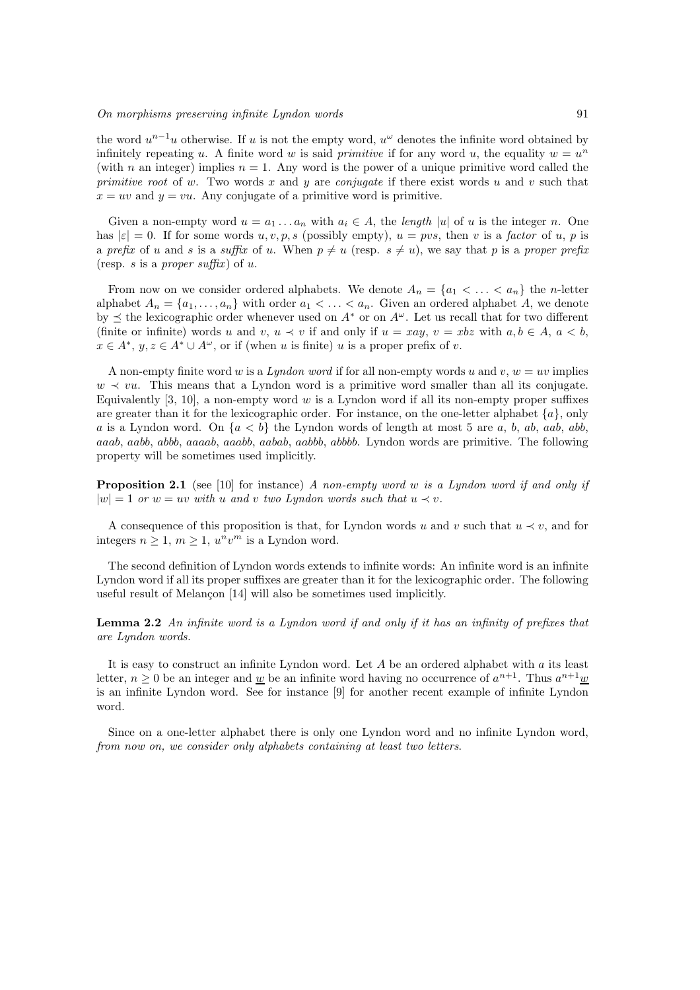the word  $u^{n-1}u$  otherwise. If u is not the empty word,  $u^{\omega}$  denotes the infinite word obtained by infinitely repeating u. A finite word w is said primitive if for any word u, the equality  $w = u<sup>n</sup>$ (with n an integer) implies  $n = 1$ . Any word is the power of a unique primitive word called the primitive root of w. Two words x and y are conjugate if there exist words u and v such that  $x = uv$  and  $y = vu$ . Any conjugate of a primitive word is primitive.

Given a non-empty word  $u = a_1 \ldots a_n$  with  $a_i \in A$ , the length |u| of u is the integer n. One has  $|\varepsilon| = 0$ . If for some words  $u, v, p, s$  (possibly empty),  $u = pvs$ , then v is a factor of u, p is a prefix of u and s is a suffix of u. When  $p \neq u$  (resp.  $s \neq u$ ), we say that p is a proper prefix (resp. s is a proper suffix) of  $u$ .

From now on we consider ordered alphabets. We denote  $A_n = \{a_1 < \ldots < a_n\}$  the *n*-letter alphabet  $A_n = \{a_1, \ldots, a_n\}$  with order  $a_1 < \ldots < a_n$ . Given an ordered alphabet A, we denote by  $\preceq$  the lexicographic order whenever used on  $A^*$  or on  $A^{\omega}$ . Let us recall that for two different (finite or infinite) words u and v,  $u \prec v$  if and only if  $u = xay$ ,  $v = xbz$  with  $a, b \in A$ ,  $a < b$ ,  $x \in A^*, y, z \in A^* \cup A^\omega$ , or if (when u is finite) u is a proper prefix of v.

A non-empty finite word w is a Lyndon word if for all non-empty words u and v,  $w = uv$  implies  $w \prec vu$ . This means that a Lyndon word is a primitive word smaller than all its conjugate. Equivalently  $[3, 10]$ , a non-empty word w is a Lyndon word if all its non-empty proper suffixes are greater than it for the lexicographic order. For instance, on the one-letter alphabet  $\{a\}$ , only a is a Lyndon word. On  $\{a < b\}$  the Lyndon words of length at most 5 are a, b, ab, aab, abb, aaab, aabb, abbb, aaaab, aaabb, aabab, aabbb, abbbb. Lyndon words are primitive. The following property will be sometimes used implicitly.

**Proposition 2.1** (see [10] for instance) A non-empty word w is a Lyndon word if and only if  $|w| = 1$  or  $w = uv$  with u and v two Lyndon words such that  $u \prec v$ .

A consequence of this proposition is that, for Lyndon words u and v such that  $u \prec v$ , and for integers  $n \geq 1$ ,  $m \geq 1$ ,  $u^n v^m$  is a Lyndon word.

The second definition of Lyndon words extends to infinite words: An infinite word is an infinite Lyndon word if all its proper suffixes are greater than it for the lexicographic order. The following useful result of Melançon [14] will also be sometimes used implicitly.

Lemma 2.2 An infinite word is a Lyndon word if and only if it has an infinity of prefixes that are Lyndon words.

It is easy to construct an infinite Lyndon word. Let  $A$  be an ordered alphabet with  $a$  its least letter,  $n \geq 0$  be an integer and <u>w</u> be an infinite word having no occurrence of  $a^{n+1}$ . Thus  $a^{n+1}$  w is an infinite Lyndon word. See for instance [9] for another recent example of infinite Lyndon word.

Since on a one-letter alphabet there is only one Lyndon word and no infinite Lyndon word, from now on, we consider only alphabets containing at least two letters.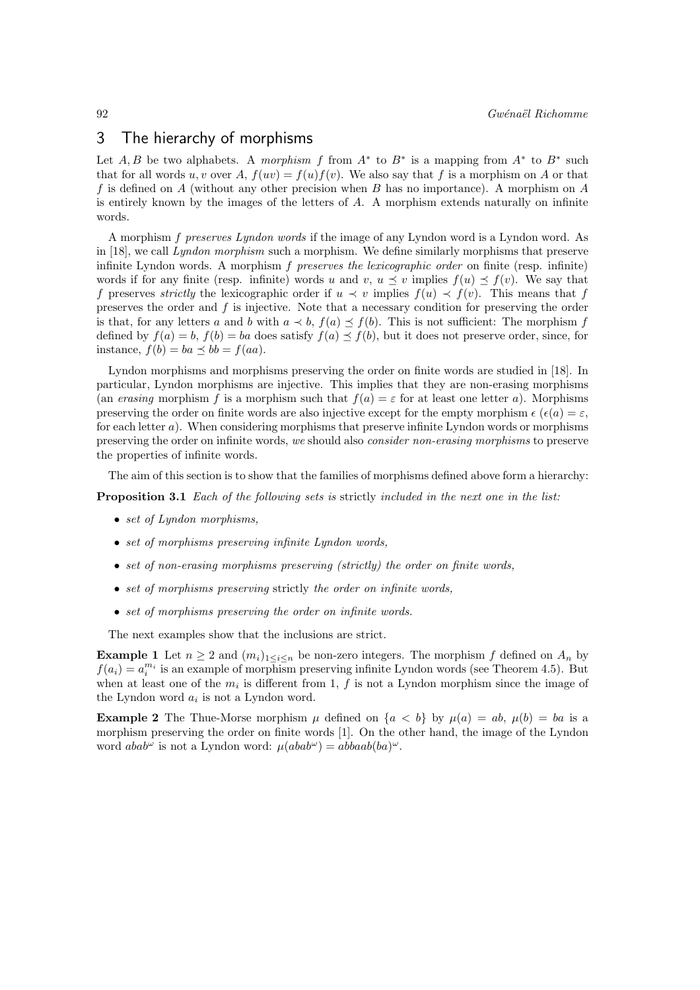### 3 The hierarchy of morphisms

Let A, B be two alphabets. A morphism f from  $A^*$  to  $B^*$  is a mapping from  $A^*$  to  $B^*$  such that for all words u, v over A,  $f(uv) = f(u)f(v)$ . We also say that f is a morphism on A or that f is defined on A (without any other precision when B has no importance). A morphism on A is entirely known by the images of the letters of  $A$ . A morphism extends naturally on infinite words.

A morphism f preserves Lyndon words if the image of any Lyndon word is a Lyndon word. As in [18], we call Lyndon morphism such a morphism. We define similarly morphisms that preserve infinite Lyndon words. A morphism  $f$  preserves the lexicographic order on finite (resp. infinite) words if for any finite (resp. infinite) words u and v,  $u \prec v$  implies  $f(u) \prec f(v)$ . We say that f preserves strictly the lexicographic order if  $u \prec v$  implies  $f(u) \prec f(v)$ . This means that f preserves the order and f is injective. Note that a necessary condition for preserving the order is that, for any letters a and b with  $a \prec b$ ,  $f(a) \preceq f(b)$ . This is not sufficient: The morphism f defined by  $f(a) = b$ ,  $f(b) = ba$  does satisfy  $f(a) \preceq f(b)$ , but it does not preserve order, since, for instance,  $f(b) = ba \preceq bb = f(aa).$ 

Lyndon morphisms and morphisms preserving the order on finite words are studied in [18]. In particular, Lyndon morphisms are injective. This implies that they are non-erasing morphisms (an erasing morphism f is a morphism such that  $f(a) = \varepsilon$  for at least one letter a). Morphisms preserving the order on finite words are also injective except for the empty morphism  $\epsilon (\epsilon(a) = \epsilon,$ for each letter a). When considering morphisms that preserve infinite Lyndon words or morphisms preserving the order on infinite words, we should also consider non-erasing morphisms to preserve the properties of infinite words.

The aim of this section is to show that the families of morphisms defined above form a hierarchy:

**Proposition 3.1** Each of the following sets is strictly included in the next one in the list:

- set of Lyndon morphisms,
- set of morphisms preserving infinite Lyndon words,
- set of non-erasing morphisms preserving (strictly) the order on finite words,
- set of morphisms preserving strictly the order on infinite words,
- set of morphisms preserving the order on infinite words.

The next examples show that the inclusions are strict.

**Example 1** Let  $n \geq 2$  and  $(m_i)_{1 \leq i \leq n}$  be non-zero integers. The morphism f defined on  $A_n$  by  $f(a_i) = a_i^{m_i}$  is an example of morphism preserving infinite Lyndon words (see Theorem 4.5). But when at least one of the  $m_i$  is different from 1, f is not a Lyndon morphism since the image of the Lyndon word  $a_i$  is not a Lyndon word.

**Example 2** The Thue-Morse morphism  $\mu$  defined on  $\{a < b\}$  by  $\mu(a) = ab$ ,  $\mu(b) = ba$  is a morphism preserving the order on finite words [1]. On the other hand, the image of the Lyndon word  $abab^{\omega}$  is not a Lyndon word:  $\mu(abab^{\omega}) = abbaab(ba)^{\omega}$ .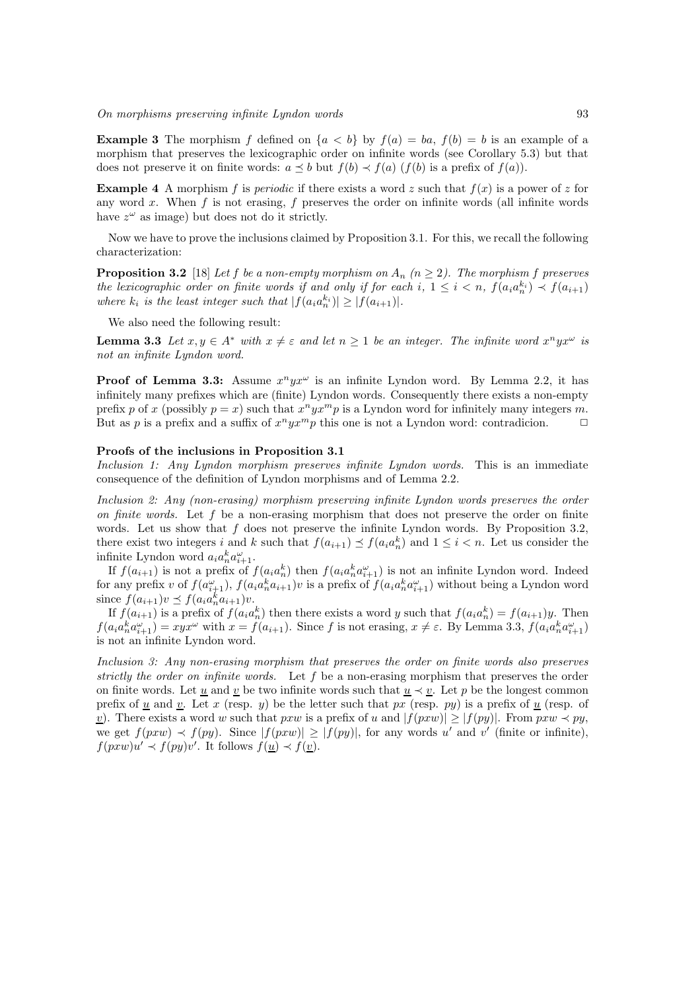**Example 3** The morphism f defined on  $\{a < b\}$  by  $f(a) = ba$ ,  $f(b) = b$  is an example of a morphism that preserves the lexicographic order on infinite words (see Corollary 5.3) but that does not preserve it on finite words:  $a \leq b$  but  $f(b) \leq f(a)$  (f(b) is a prefix of  $f(a)$ ).

**Example 4** A morphism f is *periodic* if there exists a word z such that  $f(x)$  is a power of z for any word x. When f is not erasing, f preserves the order on infinite words (all infinite words have  $z^{\omega}$  as image) but does not do it strictly.

Now we have to prove the inclusions claimed by Proposition 3.1. For this, we recall the following characterization:

**Proposition 3.2** [18] Let f be a non-empty morphism on  $A_n$  ( $n \geq 2$ ). The morphism f preserves the lexicographic order on finite words if and only if for each i,  $1 \leq i < n$ ,  $f(a_i a_n^{k_i}) \prec f(a_{i+1})$ where  $k_i$  is the least integer such that  $|f(a_i a_n^{k_i})| \geq |f(a_{i+1})|$ .

We also need the following result:

**Lemma 3.3** Let  $x, y \in A^*$  with  $x \neq \varepsilon$  and let  $n \geq 1$  be an integer. The infinite word  $x^n y x^{\omega}$  is not an infinite Lyndon word.

**Proof of Lemma 3.3:** Assume  $x^n y x^{\omega}$  is an infinite Lyndon word. By Lemma 2.2, it has infinitely many prefixes which are (finite) Lyndon words. Consequently there exists a non-empty prefix p of x (possibly  $p = x$ ) such that  $x^n y x^m p$  is a Lyndon word for infinitely many integers m. But as p is a prefix and a suffix of  $x^n y x^m p$  this one is not a Lyndon word: contradicion.  $\Box$ 

#### Proofs of the inclusions in Proposition 3.1

Inclusion 1: Any Lyndon morphism preserves infinite Lyndon words. This is an immediate consequence of the definition of Lyndon morphisms and of Lemma 2.2.

Inclusion 2: Any (non-erasing) morphism preserving infinite Lyndon words preserves the order on finite words. Let f be a non-erasing morphism that does not preserve the order on finite words. Let us show that  $f$  does not preserve the infinite Lyndon words. By Proposition 3.2, there exist two integers i and k such that  $f(a_{i+1}) \preceq f(a_i a_n^k)$  and  $1 \leq i < n$ . Let us consider the infinite Lyndon word  $a_i a_n^k a_{i+1}^\omega$ .

If  $f(a_{i+1})$  is not a prefix of  $f(a_ia_n^k)$  then  $f(a_ia_n^ka_{i+1}^{\omega})$  is not an infinite Lyndon word. Indeed for any prefix v of  $f(a_{i+1}^{\omega}), f(a_ia_n^ka_{i+1})v$  is a prefix of  $f(a_ia_n^ka_{i+1}^{\omega})$  without being a Lyndon word since  $f(a_{i+1})v \preceq f(a_ia_n^ka_{i+1})v$ .

If  $f(a_{i+1})$  is a prefix of  $f(a_i a_n^k)$  then there exists a word y such that  $f(a_i a_n^k) = f(a_{i+1})y$ . Then  $f(a_ia_n^ka_{i+1}^\omega) = xyx^\omega$  with  $x = f(a_{i+1})$ . Since f is not erasing,  $x \neq \varepsilon$ . By Lemma 3.3,  $f(a_ia_n^ka_{i+1}^\omega)$ is not an infinite Lyndon word.

Inclusion 3: Any non-erasing morphism that preserves the order on finite words also preserves strictly the order on infinite words. Let  $f$  be a non-erasing morphism that preserves the order on finite words. Let u and v be two infinite words such that  $u \prec v$ . Let p be the longest common prefix of <u>u</u> and <u>v</u>. Let x (resp. y) be the letter such that px (resp. py) is a prefix of  $\underline{u}$  (resp. of <u>v</u>). There exists a word w such that pxw is a prefix of u and  $|f(p x w)| \geq |f(p y)|$ . From pxw  $\prec py$ , we get  $f(pxw) \prec f(py)$ . Since  $|f(pxw)| \geq |f(py)|$ , for any words u' and v' (finite or infinite),  $f(pxw)u' \prec f(py)v'.$  It follows  $f(\underline{u}) \prec f(\underline{v}).$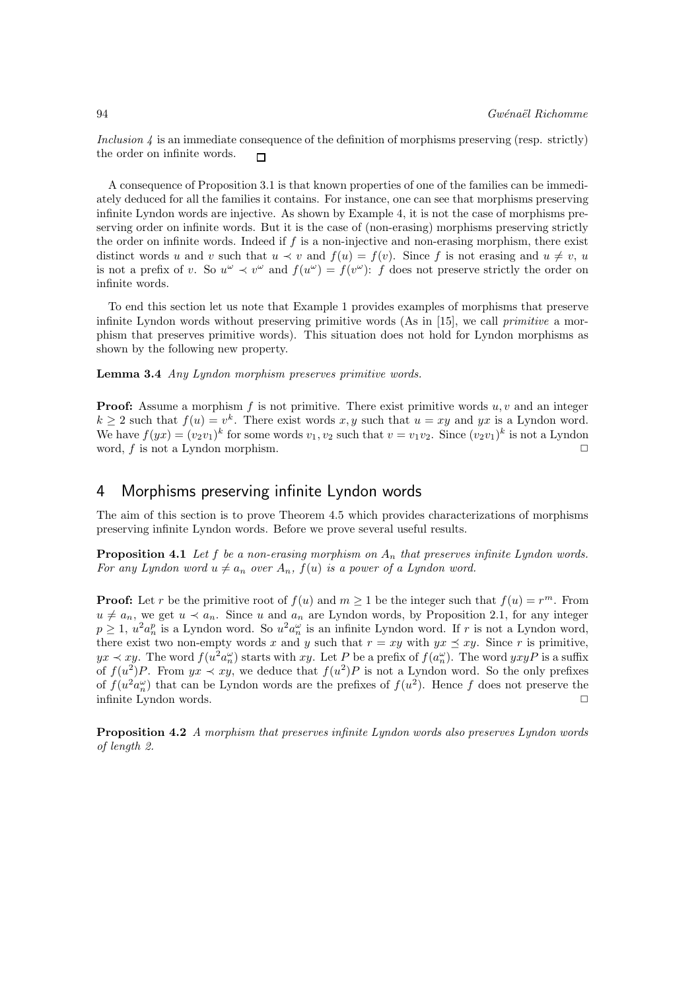Inclusion 4 is an immediate consequence of the definition of morphisms preserving (resp. strictly) the order on infinite words.  $\Box$ 

A consequence of Proposition 3.1 is that known properties of one of the families can be immediately deduced for all the families it contains. For instance, one can see that morphisms preserving infinite Lyndon words are injective. As shown by Example 4, it is not the case of morphisms preserving order on infinite words. But it is the case of (non-erasing) morphisms preserving strictly the order on infinite words. Indeed if f is a non-injective and non-erasing morphism, there exist distinct words u and v such that  $u \prec v$  and  $f(u) = f(v)$ . Since f is not erasing and  $u \neq v$ , u is not a prefix of v. So  $u^{\omega} \prec v^{\omega}$  and  $f(u^{\omega}) = f(v^{\omega})$ : f does not preserve strictly the order on infinite words.

To end this section let us note that Example 1 provides examples of morphisms that preserve infinite Lyndon words without preserving primitive words (As in [15], we call *primitive* a morphism that preserves primitive words). This situation does not hold for Lyndon morphisms as shown by the following new property.

Lemma 3.4 Any Lyndon morphism preserves primitive words.

**Proof:** Assume a morphism f is not primitive. There exist primitive words u, v and an integer  $k \geq 2$  such that  $f(u) = v^k$ . There exist words x, y such that  $u = xy$  and yx is a Lyndon word. We have  $f(yx) = (v_2v_1)^k$  for some words  $v_1, v_2$  such that  $v = v_1v_2$ . Since  $(v_2v_1)^k$  is not a Lyndon word, f is not a Lyndon morphism.  $\Box$ 

## 4 Morphisms preserving infinite Lyndon words

The aim of this section is to prove Theorem 4.5 which provides characterizations of morphisms preserving infinite Lyndon words. Before we prove several useful results.

**Proposition 4.1** Let f be a non-erasing morphism on  $A_n$  that preserves infinite Lyndon words. For any Lyndon word  $u \neq a_n$  over  $A_n$ ,  $f(u)$  is a power of a Lyndon word.

**Proof:** Let r be the primitive root of  $f(u)$  and  $m \ge 1$  be the integer such that  $f(u) = r^m$ . From  $u \neq a_n$ , we get  $u \prec a_n$ . Since u and  $a_n$  are Lyndon words, by Proposition 2.1, for any integer  $p \geq 1$ ,  $u^2 a_n^p$  is a Lyndon word. So  $u^2 a_n^{\omega}$  is an infinite Lyndon word. If r is not a Lyndon word, there exist two non-empty words x and y such that  $r = xy$  with  $yx \preceq xy$ . Since r is primitive,  $yx \prec xy$ . The word  $f(u^2 a_n^{\omega})$  starts with  $xy$ . Let P be a prefix of  $f(a_n^{\omega})$ . The word  $yxyP$  is a suffix of  $f(u^2)P$ . From  $yx \prec xy$ , we deduce that  $f(u^2)P$  is not a Lyndon word. So the only prefixes of  $f(u^2 a_n^{\omega})$  that can be Lyndon words are the prefixes of  $f(u^2)$ . Hence f does not preserve the infinite Lyndon words.  $\Box$ 

Proposition 4.2 A morphism that preserves infinite Lyndon words also preserves Lyndon words of length 2.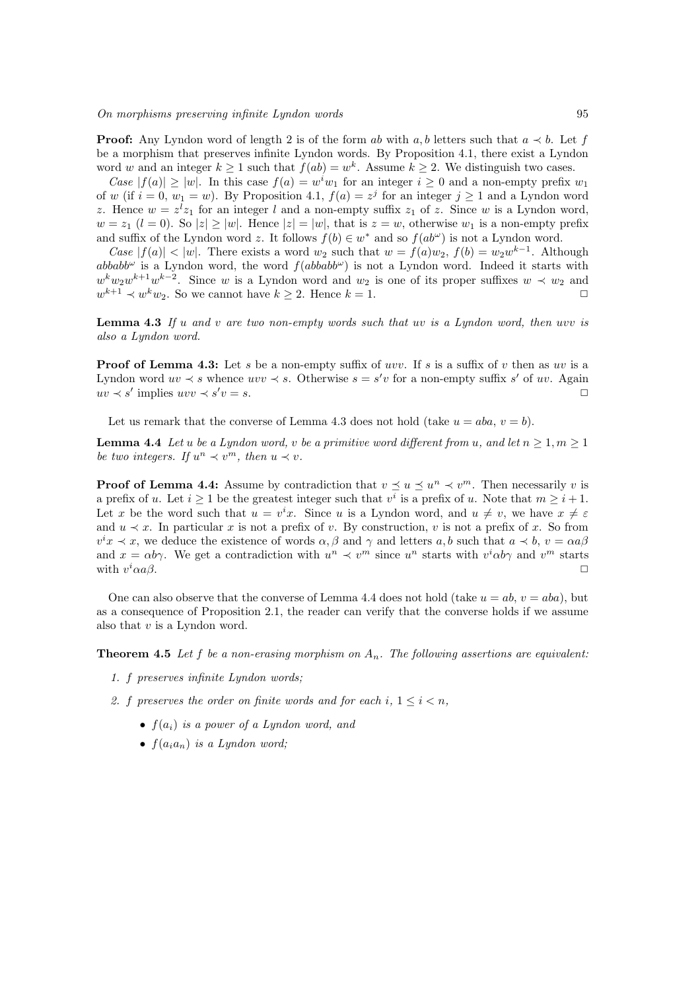**Proof:** Any Lyndon word of length 2 is of the form ab with a, b letters such that  $a \prec b$ . Let f be a morphism that preserves infinite Lyndon words. By Proposition 4.1, there exist a Lyndon word w and an integer  $k \geq 1$  such that  $f(ab) = w^k$ . Assume  $k \geq 2$ . We distinguish two cases.

Case  $|f(a)| \ge |w|$ . In this case  $f(a) = w^i w_1$  for an integer  $i \ge 0$  and a non-empty prefix  $w_1$ of w (if  $i = 0, w_1 = w$ ). By Proposition 4.1,  $f(a) = z^j$  for an integer  $j \ge 1$  and a Lyndon word z. Hence  $w = z^l z_1$  for an integer l and a non-empty suffix  $z_1$  of z. Since w is a Lyndon word,  $w = z_1$   $(l = 0)$ . So  $|z| \ge |w|$ . Hence  $|z| = |w|$ , that is  $z = w$ , otherwise  $w_1$  is a non-empty prefix and suffix of the Lyndon word z. It follows  $f(b) \in w^*$  and so  $f(ab^{\omega})$  is not a Lyndon word.

Case  $|f(a)| < |w|$ . There exists a word  $w_2$  such that  $w = f(a)w_2$ ,  $f(b) = w_2w^{k-1}$ . Although abbabb<sup> $\omega$ </sup> is a Lyndon word, the word  $f(abbabb^{\omega})$  is not a Lyndon word. Indeed it starts with  $w^k w_2 w^{k+1} w^{k-2}$ . Since w is a Lyndon word and  $w_2$  is one of its proper suffixes  $w \prec w_2$  and  $w^{k+1} \prec w^k w_2$ . So we cannot have  $k \geq 2$ . Hence  $k = 1$ .

**Lemma 4.3** If u and v are two non-empty words such that uv is a Lyndon word, then uvv is also a Lyndon word.

**Proof of Lemma 4.3:** Let s be a non-empty suffix of uvv. If s is a suffix of v then as uv is a Lyndon word  $uv \prec s$  whence  $uvv \prec s$ . Otherwise  $s = s'v$  for a non-empty suffix s' of uv. Again  $uv \prec s'$  implies  $uvv \prec s'$  $v = s$ .

Let us remark that the converse of Lemma 4.3 does not hold (take  $u = aba, v = b$ ).

**Lemma 4.4** Let u be a Lyndon word, v be a primitive word different from u, and let  $n \geq 1, m \geq 1$ be two integers. If  $u^n \prec v^m$ , then  $u \prec v$ .

**Proof of Lemma 4.4:** Assume by contradiction that  $v \leq u \leq u^n \prec v^m$ . Then necessarily v is a prefix of u. Let  $i \geq 1$  be the greatest integer such that  $v^i$  is a prefix of u. Note that  $m \geq i+1$ . Let x be the word such that  $u = v^i x$ . Since u is a Lyndon word, and  $u \neq v$ , we have  $x \neq \varepsilon$ and  $u \prec x$ . In particular x is not a prefix of v. By construction, v is not a prefix of x. So from  $v^ix \prec x$ , we deduce the existence of words  $\alpha, \beta$  and  $\gamma$  and letters  $a, b$  such that  $a \prec b$ ,  $v = \alpha a \beta$ and  $x = \alpha b \gamma$ . We get a contradiction with  $u^n \prec v^m$  since  $u^n$  starts with  $v^i \alpha b \gamma$  and  $v^m$  starts with  $v^i \alpha a \beta$ .  $i_{\alpha a\beta}$ .

One can also observe that the converse of Lemma 4.4 does not hold (take  $u = ab, v = aba$ ), but as a consequence of Proposition 2.1, the reader can verify that the converse holds if we assume also that  $v$  is a Lyndon word.

**Theorem 4.5** Let f be a non-erasing morphism on  $A_n$ . The following assertions are equivalent:

1. f preserves infinite Lyndon words;

2. f preserves the order on finite words and for each  $i, 1 \leq i < n$ ,

- $f(a_i)$  is a power of a Lyndon word, and
- $f(a_ia_n)$  is a Lyndon word;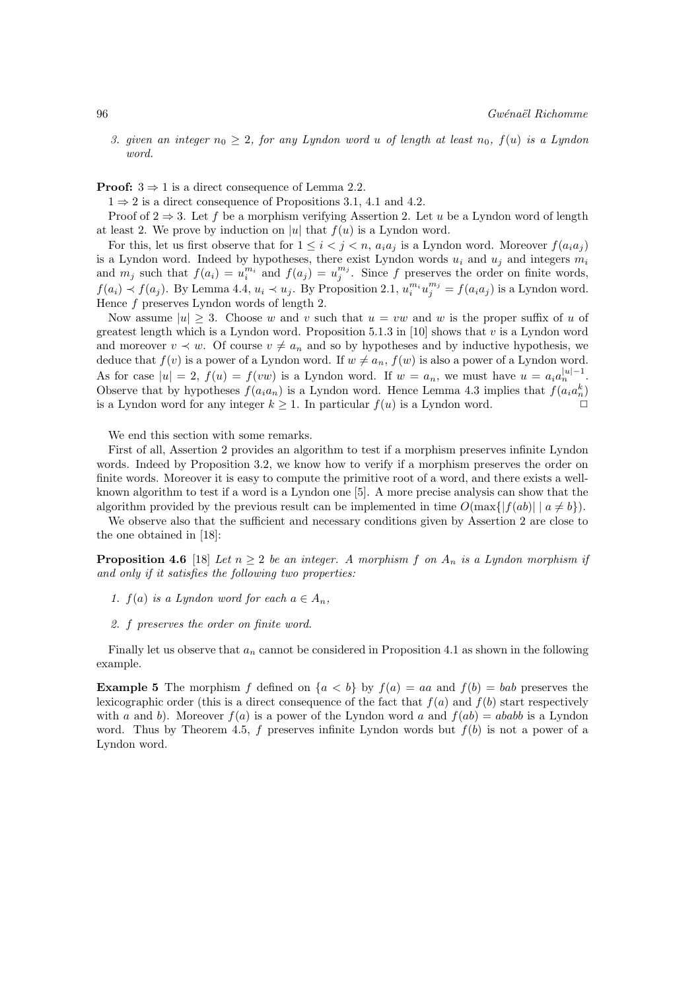3. given an integer  $n_0 \geq 2$ , for any Lyndon word u of length at least  $n_0$ ,  $f(u)$  is a Lyndon word.

**Proof:**  $3 \Rightarrow 1$  is a direct consequence of Lemma 2.2.

 $1 \Rightarrow 2$  is a direct consequence of Propositions 3.1, 4.1 and 4.2.

Proof of  $2 \Rightarrow 3$ . Let f be a morphism verifying Assertion 2. Let u be a Lyndon word of length at least 2. We prove by induction on |u| that  $f(u)$  is a Lyndon word.

For this, let us first observe that for  $1 \leq i < j < n$ ,  $a_i a_j$  is a Lyndon word. Moreover  $f(a_i a_j)$ is a Lyndon word. Indeed by hypotheses, there exist Lyndon words  $u_i$  and  $u_j$  and integers  $m_i$ and  $m_j$  such that  $f(a_i) = u_i^{m_i}$  and  $f(a_j) = u_j^{m_j}$ . Since f preserves the order on finite words,  $f(a_i) \prec f(a_j)$ . By Lemma 4.4,  $u_i \prec u_j$ . By Proposition 2.1,  $u_i^{m_i} u_j^{m_j} = f(a_i a_j)$  is a Lyndon word. Hence f preserves Lyndon words of length 2.

Now assume  $|u| \geq 3$ . Choose w and v such that  $u = vw$  and w is the proper suffix of u of greatest length which is a Lyndon word. Proposition 5.1.3 in [10] shows that v is a Lyndon word and moreover  $v \prec w$ . Of course  $v \neq a_n$  and so by hypotheses and by inductive hypothesis, we deduce that  $f(v)$  is a power of a Lyndon word. If  $w \neq a_n$ ,  $f(w)$  is also a power of a Lyndon word. As for case  $|u| = 2$ ,  $f(u) = f(vw)$  is a Lyndon word. If  $w = a_n$ , we must have  $u = a_i a_n^{|u|-1}$ . Observe that by hypotheses  $f(a_i a_n)$  is a Lyndon word. Hence Lemma 4.3 implies that  $f(a_i a_n^k)$ is a Lyndon word for any integer  $k \geq 1$ . In particular  $f(u)$  is a Lyndon word.

We end this section with some remarks.

First of all, Assertion 2 provides an algorithm to test if a morphism preserves infinite Lyndon words. Indeed by Proposition 3.2, we know how to verify if a morphism preserves the order on finite words. Moreover it is easy to compute the primitive root of a word, and there exists a wellknown algorithm to test if a word is a Lyndon one [5]. A more precise analysis can show that the algorithm provided by the previous result can be implemented in time  $O(\max\{|f(ab)| \mid a \neq b\})$ .

We observe also that the sufficient and necessary conditions given by Assertion 2 are close to the one obtained in [18]:

**Proposition 4.6** [18] Let  $n \geq 2$  be an integer. A morphism f on  $A_n$  is a Lyndon morphism if and only if it satisfies the following two properties:

- 1.  $f(a)$  is a Lyndon word for each  $a \in A_n$ ,
- 2. f preserves the order on finite word.

Finally let us observe that  $a_n$  cannot be considered in Proposition 4.1 as shown in the following example.

**Example 5** The morphism f defined on  $\{a < b\}$  by  $f(a) = aa$  and  $f(b) = bab$  preserves the lexicographic order (this is a direct consequence of the fact that  $f(a)$  and  $f(b)$  start respectively with a and b). Moreover  $f(a)$  is a power of the Lyndon word a and  $f(ab) = ababb$  is a Lyndon word. Thus by Theorem 4.5, f preserves infinite Lyndon words but  $f(b)$  is not a power of a Lyndon word.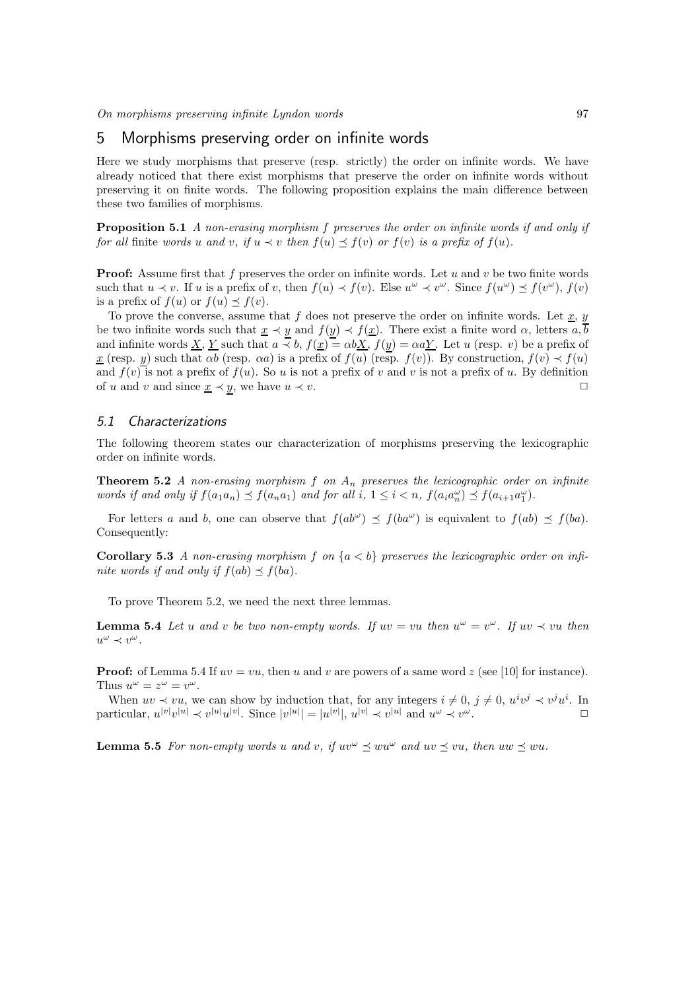### 5 Morphisms preserving order on infinite words

Here we study morphisms that preserve (resp. strictly) the order on infinite words. We have already noticed that there exist morphisms that preserve the order on infinite words without preserving it on finite words. The following proposition explains the main difference between these two families of morphisms.

Proposition 5.1 A non-erasing morphism f preserves the order on infinite words if and only if for all finite words u and v, if  $u \prec v$  then  $f(u) \preceq f(v)$  or  $f(v)$  is a prefix of  $f(u)$ .

**Proof:** Assume first that f preserves the order on infinite words. Let u and v be two finite words such that  $u \prec v$ . If u is a prefix of v, then  $f(u) \prec f(v)$ . Else  $u^{\omega} \prec v^{\omega}$ . Since  $f(u^{\omega}) \preceq f(v^{\omega})$ ,  $f(v)$ is a prefix of  $f(u)$  or  $f(u) \preceq f(v)$ .

To prove the converse, assume that f does not preserve the order on infinite words. Let  $\underline{x}$ , y be two infinite words such that  $\underline{x} \prec \underline{y}$  and  $f(\underline{y}) \prec f(\underline{x})$ . There exist a finite word  $\alpha$ , letters  $a, \overline{b}$ and infinite words <u>X, Y</u> such that  $a \leq b$ ,  $f(\underline{x}) = \alpha b \underline{X}$ ,  $f(\underline{y}) = \alpha a \underline{Y}$ . Let u (resp. v) be a prefix of  $\underline{x}$  (resp. y) such that  $\alpha b$  (resp.  $\alpha a$ ) is a prefix of  $f(u)$  (resp.  $f(v)$ ). By construction,  $f(v) \prec f(u)$ and  $f(v)$  is not a prefix of  $f(u)$ . So u is not a prefix of v and v is not a prefix of u. By definition of u and v and since  $\underline{x} \prec y$ , we have  $u \prec v$ .  $\Box$ 

### 5.1 Characterizations

The following theorem states our characterization of morphisms preserving the lexicographic order on infinite words.

**Theorem 5.2** A non-erasing morphism  $f$  on  $A_n$  preserves the lexicographic order on infinite words if and only if  $f(a_1a_n) \preceq f(a_na_1)$  and for all  $i, 1 \leq i < n$ ,  $f(a_ia_n^{\omega}) \preceq f(a_{i+1}a_1^{\omega})$ .

For letters a and b, one can observe that  $f(ab^{\omega}) \preceq f(ba^{\omega})$  is equivalent to  $f(ab) \preceq f(ba)$ . Consequently:

**Corollary 5.3** A non-erasing morphism f on  $\{a < b\}$  preserves the lexicographic order on infinite words if and only if  $f(ab) \preceq f(ba)$ .

To prove Theorem 5.2, we need the next three lemmas.

**Lemma 5.4** Let u and v be two non-empty words. If  $uv = vu$  then  $u^{\omega} = v^{\omega}$ . If  $uv \prec vu$  then  $u^{\omega} \prec v^{\omega}$ .

**Proof:** of Lemma 5.4 If  $uv = vu$ , then u and v are powers of a same word z (see [10] for instance). Thus  $u^{\omega} = z^{\omega} = v^{\omega}$ .

When  $uv \prec vu$ , we can show by induction that, for any integers  $i \neq 0, j \neq 0, u^iv^j \prec v^ju^i$ . In particular,  $u^{|v|}v^{|u|} \prec v^{|u|}u^{|v|}$ . Since  $|v^{|u|}| = |u^{|v|}|$ ,  $u^{|v|} \prec v^{|u|}$  and  $u^{\omega} \prec v$  $\omega$ .

**Lemma 5.5** For non-empty words u and v, if  $uv^{\omega} \preceq wu^{\omega}$  and  $uv \preceq vu$ , then  $uw \preceq wu$ .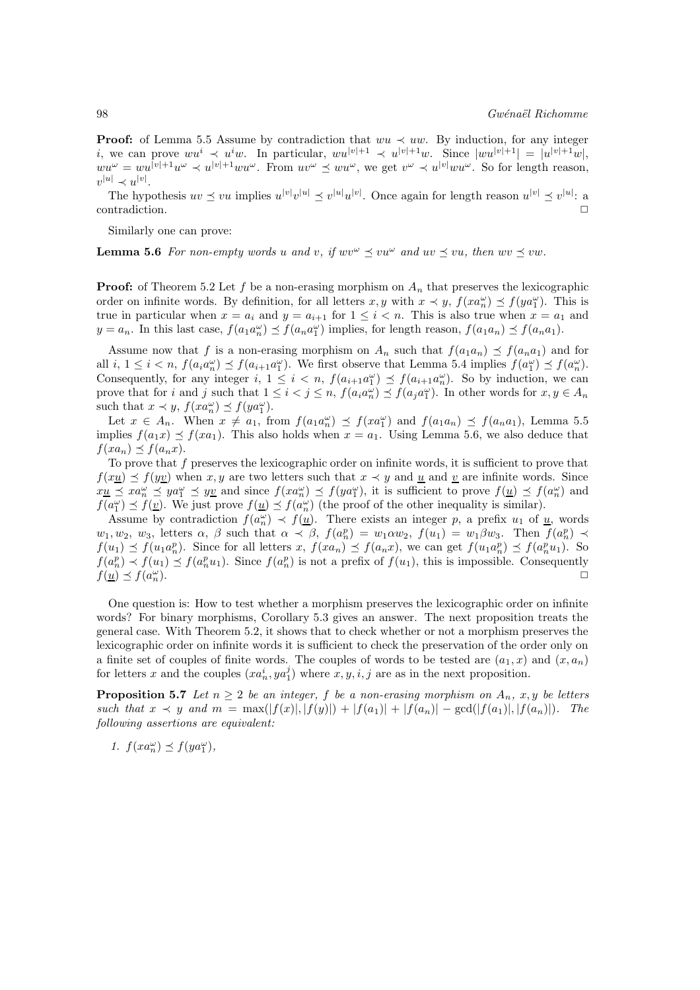**Proof:** of Lemma 5.5 Assume by contradiction that  $wu \prec uw$ . By induction, for any integer i, we can prove  $wu^i \prec u^iw$ . In particular,  $wu^{|v|+1} \prec u^{|v|+1}w$ . Since  $|wu^{|v|+1}| = |u^{|v|+1}w|$ ,  $wu^{\omega} = wu^{|v|+1}u^{\omega} \prec u^{|v|+1}wu^{\omega}$ . From  $uv^{\omega} \preceq wu^{\omega}$ , we get  $v^{\omega} \prec u^{|v|}wu^{\omega}$ . So for length reason,  $v^{|u|} \prec u^{|v|}.$ 

The hypothesis  $uv \le vu$  implies  $u^{|v|}v^{|u|} \le v^{|u|}u^{|v|}$ . Once again for length reason  $u^{|v|} \le v^{|u|}$ : a contradiction.  $\hfill \Box$ 

Similarly one can prove:

**Lemma 5.6** For non-empty words u and v, if  $wv^{\omega} \preceq vu^{\omega}$  and  $uv \preceq vu$ , then  $wv \preceq vw$ .

**Proof:** of Theorem 5.2 Let f be a non-erasing morphism on  $A_n$  that preserves the lexicographic order on infinite words. By definition, for all letters  $x, y$  with  $x \prec y$ ,  $f(xa_n^{\omega}) \preceq f(ya_1^{\omega})$ . This is true in particular when  $x = a_i$  and  $y = a_{i+1}$  for  $1 \leq i \leq n$ . This is also true when  $x = a_1$  and  $y = a_n$ . In this last case,  $f(a_1 a_n^{\omega}) \preceq f(a_n a_1^{\omega})$  implies, for length reason,  $f(a_1 a_n) \preceq f(a_n a_1)$ .

Assume now that f is a non-erasing morphism on  $A_n$  such that  $f(a_1a_n) \preceq f(a_na_1)$  and for all  $i, 1 \leq i < n$ ,  $f(a_i a_n^{\omega}) \leq f(a_{i+1} a_1^{\omega})$ . We first observe that Lemma 5.4 implies  $f(a_1^{\omega}) \leq f(a_n^{\omega})$ . Consequently, for any integer  $i, 1 \leq i < n$ ,  $f(a_{i+1}a_1^{\omega}) \leq f(a_{i+1}a_n^{\omega})$ . So by induction, we can prove that for i and j such that  $1 \leq i < j \leq n$ ,  $f(a_i a_n^{\omega}) \leq f(a_j a_1^{\omega})$ . In other words for  $x, y \in A_n$ such that  $x \prec y$ ,  $f(xa_n^{\omega}) \preceq f(ya_1^{\omega})$ .

Let  $x \in A_n$ . When  $x \neq a_1$ , from  $f(a_1 a_n^{\omega}) \preceq f(x a_1^{\omega})$  and  $f(a_1 a_n) \preceq f(a_n a_1)$ , Lemma 5.5 implies  $f(a_1x) \preceq f(xa_1)$ . This also holds when  $x = a_1$ . Using Lemma 5.6, we also deduce that  $f(xa_n) \prec f(a_nx)$ .

To prove that f preserves the lexicographic order on infinite words, it is sufficient to prove that  $f(xy) \preceq f(yy)$  when x, y are two letters such that  $x \prec y$  and u and v are infinite words. Since  $x_{\mathbf{u}} \preceq x a_n^{\omega} \preceq y a_1^{\omega} \preceq y_{\mathbf{u}}$  and since  $f(x a_n^{\omega}) \preceq f(y a_1^{\omega})$ , it is sufficient to prove  $f(\underline{u}) \preceq f(a_n^{\omega})$  and  $f(a_1^{\omega}) \preceq f(\underline{v})$ . We just prove  $f(\underline{u}) \preceq f(a_n^{\omega})$  (the proof of the other inequality is similar).

Assume by contradiction  $f(a_n^{\omega}) \prec f(\underline{u})$ . There exists an integer p, a prefix  $u_1$  of  $\underline{u}$ , words  $w_1, w_2, w_3$ , letters  $\alpha$ ,  $\beta$  such that  $\alpha \prec \beta$ ,  $f(a_n^p) = w_1 \alpha w_2$ ,  $f(u_1) = w_1 \beta w_3$ . Then  $f(a_n^p) \prec$  $f(u_1) \preceq f(u_1 a_n^p)$ . Since for all letters  $x, f(xa_n) \preceq f(a_n x)$ , we can get  $f(u_1 a_n^p) \preceq f(a_n^p u_1)$ . So  $f(a_n^p) \prec f(u_1) \preceq f(a_n^p u_1)$ . Since  $f(a_n^p)$  is not a prefix of  $f(u_1)$ , this is impossible. Consequently  $f(\underline{u}) \preceq f(a_n^{\omega})$  $\frac{\omega}{n}$ ).

One question is: How to test whether a morphism preserves the lexicographic order on infinite words? For binary morphisms, Corollary 5.3 gives an answer. The next proposition treats the general case. With Theorem 5.2, it shows that to check whether or not a morphism preserves the lexicographic order on infinite words it is sufficient to check the preservation of the order only on a finite set of couples of finite words. The couples of words to be tested are  $(a_1, x)$  and  $(x, a_n)$ for letters x and the couples  $(xa_n^i, ya_1^j)$  where  $x, y, i, j$  are as in the next proposition.

**Proposition 5.7** Let  $n \geq 2$  be an integer, f be a non-erasing morphism on  $A_n$ , x, y be letters such that  $x \prec y$  and  $m = \max(|f(x)|, |f(y)|) + |f(a_1)| + |f(a_n)| - \gcd(|f(a_1)|, |f(a_n)|)$ . The following assertions are equivalent:

$$
1. f(xa_n^{\omega}) \preceq f(ya_1^{\omega}),
$$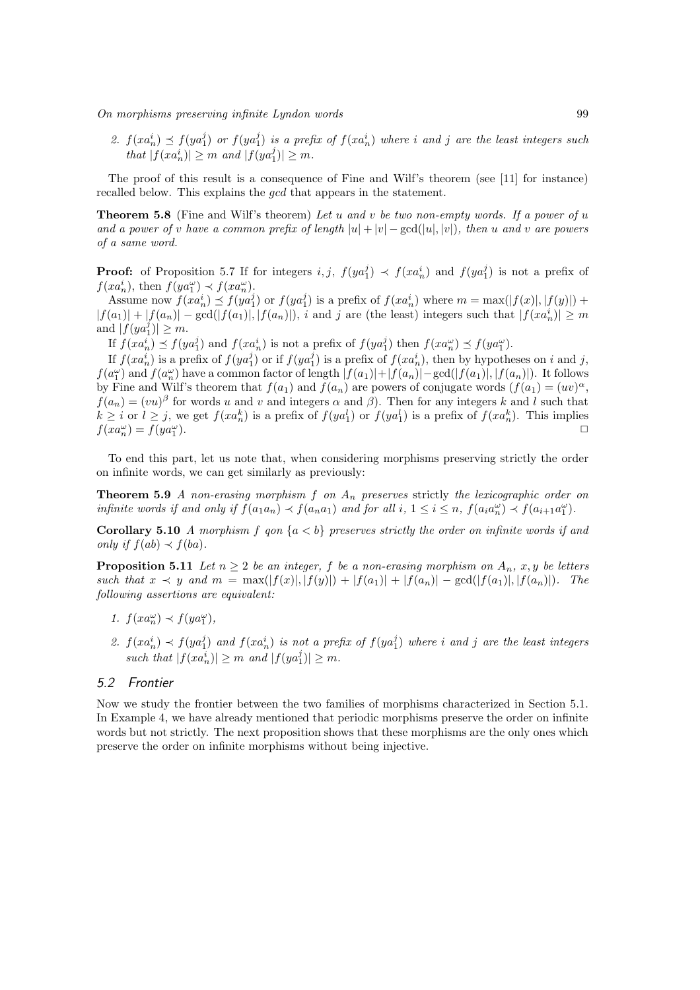2.  $f(xa_n^i) \preceq f(ya_1^j)$  or  $f(ya_1^j)$  is a prefix of  $f(xa_n^i)$  where i and j are the least integers such that  $|f(xa_n^i)| \geq m$  and  $|f(ya_1^j)| \geq m$ .

The proof of this result is a consequence of Fine and Wilf's theorem (see [11] for instance) recalled below. This explains the gcd that appears in the statement.

**Theorem 5.8** (Fine and Wilf's theorem) Let u and v be two non-empty words. If a power of u and a power of v have a common prefix of length  $|u| + |v| - \gcd(|u|, |v|)$ , then u and v are powers of a same word.

**Proof:** of Proposition 5.7 If for integers  $i, j, f(ya_1^j) \prec f(xa_n^i)$  and  $f(ya_1^j)$  is not a prefix of  $f(xa_n^i)$ , then  $f(ya_1^{\omega}) \prec f(xa_n^{\omega})$ .

Assume now  $f(xa_n^i) \preceq f(ya_1^j)$  or  $f(ya_1^j)$  is a prefix of  $f(xa_n^i)$  where  $m = \max(|f(x)|, |f(y)|) +$  $|f(a_1)| + |f(a_n)| - \gcd(|f(a_1)|, |f(a_n)|)$ , i and j are (the least) integers such that  $|f(xa_n^i)| \geq m$ and  $|f(ya_1^j)| \geq m$ .

If  $f(xa_n^i) \preceq f(ya_1^j)$  and  $f(xa_n^i)$  is not a prefix of  $f(ya_1^j)$  then  $f(xa_n^{\omega}) \preceq f(ya_1^{\omega})$ .

If  $f(xa_n^i)$  is a prefix of  $f(ya_1^j)$  or if  $f(ya_1^j)$  is a prefix of  $f(xa_n^i)$ , then by hypotheses on i and j,  $f(a_1^{\omega})$  and  $f(a_n^{\omega})$  have a common factor of length  $|f(a_1)|+|f(a_n)|-\gcd(|f(a_1)|,|f(a_n)|)$ . It follows by Fine and Wilf's theorem that  $f(a_1)$  and  $f(a_n)$  are powers of conjugate words  $(f(a_1) = (uv)^{\alpha}$ ,  $f(a_n) = (vu)^{\beta}$  for words u and v and integers  $\alpha$  and  $\beta$ ). Then for any integers k and l such that  $k \geq i$  or  $l \geq j$ , we get  $f(xa_n^k)$  is a prefix of  $f(ya_1^l)$  or  $f(ya_1^l)$  is a prefix of  $f(xa_n^k)$ . This implies  $f(xa_n^{\omega}) = f(ya_1^{\omega})$ ).  $\square$ 

To end this part, let us note that, when considering morphisms preserving strictly the order on infinite words, we can get similarly as previously:

**Theorem 5.9** A non-erasing morphism  $f$  on  $A_n$  preserves strictly the lexicographic order on infinite words if and only if  $f(a_1a_n) \prec f(a_na_1)$  and for all i,  $1 \leq i \leq n$ ,  $f(a_ia_n^{\omega}) \prec f(a_{i+1}a_1^{\omega})$ .

**Corollary 5.10** A morphism f gon  ${a < b}$  preserves strictly the order on infinite words if and only if  $f(ab) \prec f(ba)$ .

**Proposition 5.11** Let  $n \geq 2$  be an integer, f be a non-erasing morphism on  $A_n$ , x, y be letters such that  $x \prec y$  and  $m = \max(|f(x)|, |f(y)|) + |f(a_1)| + |f(a_n)| - \gcd(|f(a_1)|, |f(a_n)|)$ . The following assertions are equivalent:

- 1.  $f(xa_n^{\omega}) \prec f(ya_1^{\omega}),$
- 2.  $f(xa_n^i) \prec f(ya_1^j)$  and  $f(xa_n^i)$  is not a prefix of  $f(ya_1^j)$  where i and j are the least integers such that  $|f(xa_n^i)| \geq m$  and  $|f(ya_1^j)| \geq m$ .

#### 5.2 Frontier

Now we study the frontier between the two families of morphisms characterized in Section 5.1. In Example 4, we have already mentioned that periodic morphisms preserve the order on infinite words but not strictly. The next proposition shows that these morphisms are the only ones which preserve the order on infinite morphisms without being injective.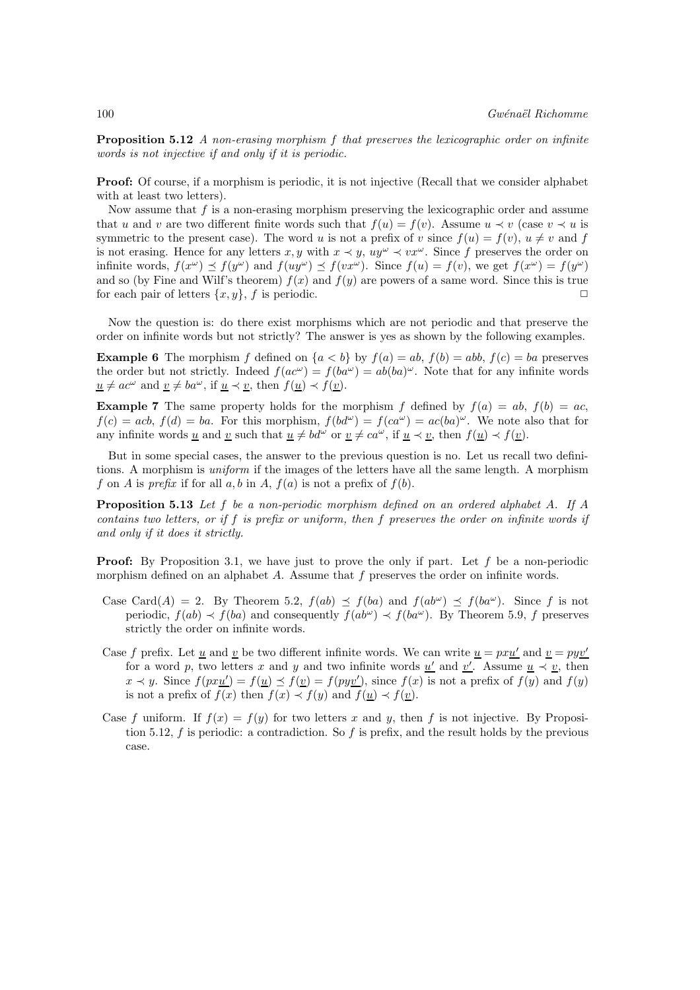**Proposition 5.12** A non-erasing morphism f that preserves the lexicographic order on infinite words is not injective if and only if it is periodic.

Proof: Of course, if a morphism is periodic, it is not injective (Recall that we consider alphabet with at least two letters).

Now assume that  $f$  is a non-erasing morphism preserving the lexicographic order and assume that u and v are two different finite words such that  $f(u) = f(v)$ . Assume  $u \prec v$  (case  $v \prec u$  is symmetric to the present case). The word u is not a prefix of v since  $f(u) = f(v)$ ,  $u \neq v$  and f is not erasing. Hence for any letters  $x, y$  with  $x \prec y$ ,  $uy^{\omega} \prec vx^{\omega}$ . Since f preserves the order on infinite words,  $f(x^{\omega}) \preceq f(y^{\omega})$  and  $f(uy^{\omega}) \preceq f(vx^{\omega})$ . Since  $f(u) = f(v)$ , we get  $f(x^{\omega}) = f(y^{\omega})$ and so (by Fine and Wilf's theorem)  $f(x)$  and  $f(y)$  are powers of a same word. Since this is true for each pair of letters  $\{x, y\}$ , f is periodic.

Now the question is: do there exist morphisms which are not periodic and that preserve the order on infinite words but not strictly? The answer is yes as shown by the following examples.

**Example 6** The morphism f defined on  $\{a < b\}$  by  $f(a) = ab$ ,  $f(b) = abb$ ,  $f(c) = ba$  preserves the order but not strictly. Indeed  $f(ac^{\omega}) = f(ba^{\omega}) = ab(ba)^{\omega}$ . Note that for any infinite words  $u \neq ac^{\omega}$  and  $v \neq ba^{\omega}$ , if  $u \prec v$ , then  $f(u) \prec f(v)$ .

**Example 7** The same property holds for the morphism f defined by  $f(a) = ab$ ,  $f(b) = ac$ ,  $f(c) = acb, f(d) = ba$ . For this morphism,  $f(bd^{\omega}) = f(ca^{\omega}) = ac(ba)^{\omega}$ . We note also that for any infinite words u and v such that  $u \neq bd^{\omega}$  or  $v \neq ca^{\omega}$ , if  $u \prec v$ , then  $f(u) \prec f(v)$ .

But in some special cases, the answer to the previous question is no. Let us recall two definitions. A morphism is uniform if the images of the letters have all the same length. A morphism f on A is prefix if for all a, b in A,  $f(a)$  is not a prefix of  $f(b)$ .

Proposition 5.13 Let f be a non-periodic morphism defined on an ordered alphabet A. If A contains two letters, or if f is prefix or uniform, then f preserves the order on infinite words if and only if it does it strictly.

**Proof:** By Proposition 3.1, we have just to prove the only if part. Let f be a non-periodic morphism defined on an alphabet A. Assume that f preserves the order on infinite words.

- Case Card(A) = 2. By Theorem 5.2,  $f(ab) \preceq f(ba)$  and  $f(ab^{\omega}) \preceq f(ba^{\omega})$ . Since f is not periodic,  $f(ab) \prec f(ba)$  and consequently  $f(ab^{\omega}) \prec f(ba^{\omega})$ . By Theorem 5.9, f preserves strictly the order on infinite words.
- Case f prefix. Let <u>u</u> and <u>v</u> be two different infinite words. We can write  $u = pxu'$  and  $v = pyv'$ for a word p, two letters x and y and two infinite words  $\underline{u}'$  and  $\underline{v}'$ . Assume  $\underline{u} \prec \underline{v}$ , then  $x \prec y$ . Since  $f(pxu'$ ) =  $f(\underline{u}) \preceq f(\underline{v}) = f(py\underline{v}')$ , since  $f(x)$  is not a prefix of  $f(y)$  and  $f(y)$ is not a prefix of  $f(x)$  then  $f(x) \prec f(y)$  and  $f(\underline{u}) \prec f(\underline{v})$ .
- Case f uniform. If  $f(x) = f(y)$  for two letters x and y, then f is not injective. By Proposition 5.12, f is periodic: a contradiction. So f is prefix, and the result holds by the previous case.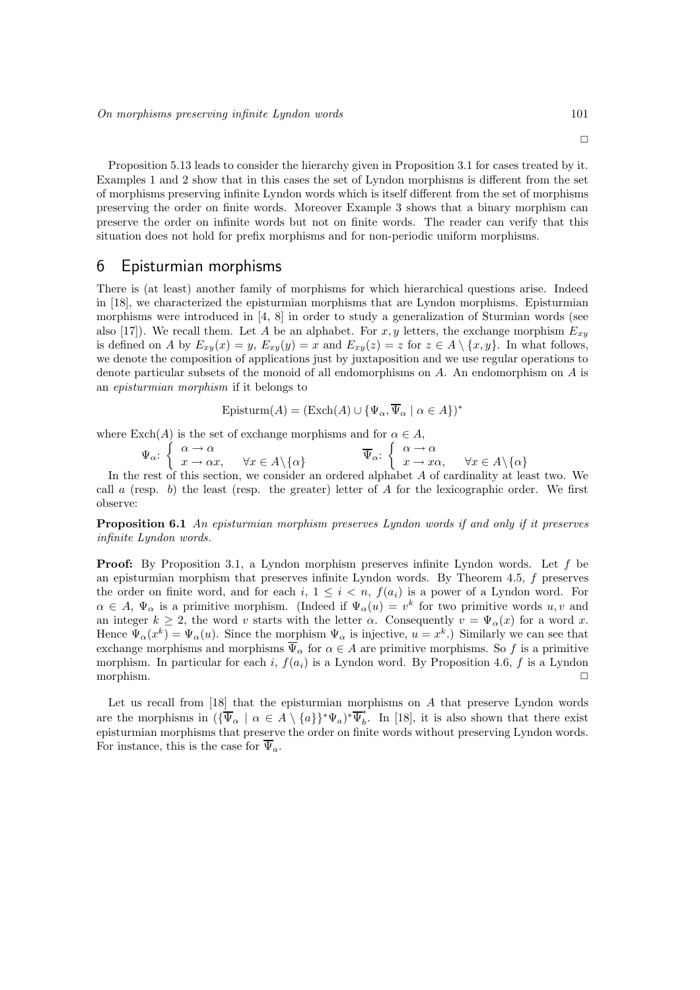Proposition 5.13 leads to consider the hierarchy given in Proposition 3.1 for cases treated by it. Examples 1 and 2 show that in this cases the set of Lyndon morphisms is different from the set of morphisms preserving infinite Lyndon words which is itself different from the set of morphisms preserving the order on finite words. Moreover Example 3 shows that a binary morphism can preserve the order on infinite words but not on finite words. The reader can verify that this situation does not hold for prefix morphisms and for non-periodic uniform morphisms.

### 6 Episturmian morphisms

There is (at least) another family of morphisms for which hierarchical questions arise. Indeed in [18], we characterized the episturmian morphisms that are Lyndon morphisms. Episturmian morphisms were introduced in [4, 8] in order to study a generalization of Sturmian words (see also [17]). We recall them. Let A be an alphabet. For x, y letters, the exchange morphism  $E_{xy}$ is defined on A by  $E_{xy}(x) = y$ ,  $E_{xy}(y) = x$  and  $E_{xy}(z) = z$  for  $z \in A \setminus \{x, y\}$ . In what follows, we denote the composition of applications just by juxtaposition and we use regular operations to denote particular subsets of the monoid of all endomorphisms on A. An endomorphism on A is an episturmian morphism if it belongs to

Episturm
$$
(A)
$$
 = (Exch $(A)$   $\cup$  { $\Psi_{\alpha}, \overline{\Psi}_{\alpha} \mid \alpha \in A$ })<sup>\*</sup>

where  $\text{Exch}(A)$  is the set of exchange morphisms and for  $\alpha \in A$ ,

$$
\Psi_{\alpha} : \begin{cases} \alpha \to \alpha \\ x \to \alpha x, \quad \forall x \in A \setminus \{\alpha\} \end{cases} \qquad \overline{\Psi}_{\alpha} : \begin{cases} \alpha \to \alpha \\ x \to x\alpha, \quad \forall x \in A \setminus \{\alpha\} \end{cases}
$$

In the rest of this section, we consider an ordered alphabet A of cardinality at least two. We call a (resp. b) the least (resp. the greater) letter of  $A$  for the lexicographic order. We first observe:

Proposition 6.1 An episturmian morphism preserves Lyndon words if and only if it preserves infinite Lyndon words.

Proof: By Proposition 3.1, a Lyndon morphism preserves infinite Lyndon words. Let f be an episturmian morphism that preserves infinite Lyndon words. By Theorem 4.5, f preserves the order on finite word, and for each i,  $1 \leq i \leq n$ ,  $f(a_i)$  is a power of a Lyndon word. For  $\alpha \in A, \Psi_{\alpha}$  is a primitive morphism. (Indeed if  $\Psi_{\alpha}(u) = v^k$  for two primitive words  $u, v$  and an integer  $k \geq 2$ , the word v starts with the letter  $\alpha$ . Consequently  $v = \Psi_{\alpha}(x)$  for a word x. Hence  $\Psi_{\alpha}(x^k) = \Psi_{\alpha}(u)$ . Since the morphism  $\Psi_{\alpha}$  is injective,  $u = x^k$ .) Similarly we can see that exchange morphisms and morphisms  $\overline{\Psi}_{\alpha}$  for  $\alpha \in A$  are primitive morphisms. So f is a primitive morphism. In particular for each i,  $f(a_i)$  is a Lyndon word. By Proposition 4.6, f is a Lyndon morphism. ✷

Let us recall from  $[18]$  that the episturmian morphisms on A that preserve Lyndon words are the morphisms in  $(\{\overline{\Psi}_{\alpha} \mid \alpha \in A \setminus \{a\}\}^* \Psi_a)^* \overline{\Psi}_b^*$  $\int_b^{\pi}$ . In [18], it is also shown that there exist episturmian morphisms that preserve the order on finite words without preserving Lyndon words. For instance, this is the case for  $\overline{\Psi}_a$ .

 $\Box$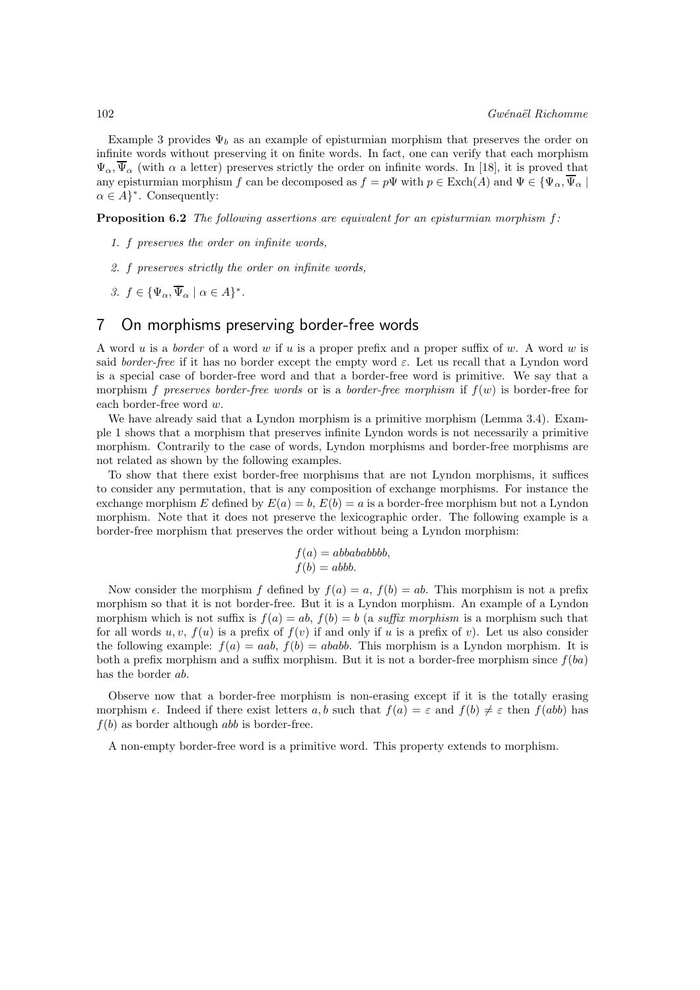Example 3 provides  $\Psi_b$  as an example of episturmian morphism that preserves the order on infinite words without preserving it on finite words. In fact, one can verify that each morphism  $\Psi_{\alpha}$ ,  $\overline{\Psi}_{\alpha}$  (with  $\alpha$  a letter) preserves strictly the order on infinite words. In [18], it is proved that any episturmian morphism f can be decomposed as  $f = p\Psi$  with  $p \in \text{Exch}(A)$  and  $\Psi \in {\Psi_\alpha, \overline{\Psi_\alpha}}$  $\alpha \in A$ <sup>\*</sup>. Consequently:

**Proposition 6.2** The following assertions are equivalent for an episturmian morphism  $f$ :

- 1. f preserves the order on infinite words,
- 2. f preserves strictly the order on infinite words,
- 3.  $f \in {\Psi_{\alpha}, \overline{\Psi}_{\alpha} \mid \alpha \in A}^*$ .

### 7 On morphisms preserving border-free words

A word u is a border of a word w if u is a proper prefix and a proper suffix of w. A word w is said border-free if it has no border except the empty word  $\varepsilon$ . Let us recall that a Lyndon word is a special case of border-free word and that a border-free word is primitive. We say that a morphism f preserves border-free words or is a border-free morphism if  $f(w)$  is border-free for each border-free word w.

We have already said that a Lyndon morphism is a primitive morphism (Lemma 3.4). Example 1 shows that a morphism that preserves infinite Lyndon words is not necessarily a primitive morphism. Contrarily to the case of words, Lyndon morphisms and border-free morphisms are not related as shown by the following examples.

To show that there exist border-free morphisms that are not Lyndon morphisms, it suffices to consider any permutation, that is any composition of exchange morphisms. For instance the exchange morphism E defined by  $E(a) = b$ ,  $E(b) = a$  is a border-free morphism but not a Lyndon morphism. Note that it does not preserve the lexicographic order. The following example is a border-free morphism that preserves the order without being a Lyndon morphism:

$$
f(a) = abbababbbb,
$$
  

$$
f(b) = abb.
$$

Now consider the morphism f defined by  $f(a) = a$ ,  $f(b) = ab$ . This morphism is not a prefix morphism so that it is not border-free. But it is a Lyndon morphism. An example of a Lyndon morphism which is not suffix is  $f(a) = ab$ ,  $f(b) = b$  (a suffix morphism is a morphism such that for all words u, v,  $f(u)$  is a prefix of  $f(v)$  if and only if u is a prefix of v). Let us also consider the following example:  $f(a) = aab$ ,  $f(b) = ababb$ . This morphism is a Lyndon morphism. It is both a prefix morphism and a suffix morphism. But it is not a border-free morphism since  $f(ba)$ has the border ab.

Observe now that a border-free morphism is non-erasing except if it is the totally erasing morphism  $\epsilon$ . Indeed if there exist letters a, b such that  $f(a) = \epsilon$  and  $f(b) \neq \epsilon$  then  $f(abb)$  has  $f(b)$  as border although abb is border-free.

A non-empty border-free word is a primitive word. This property extends to morphism.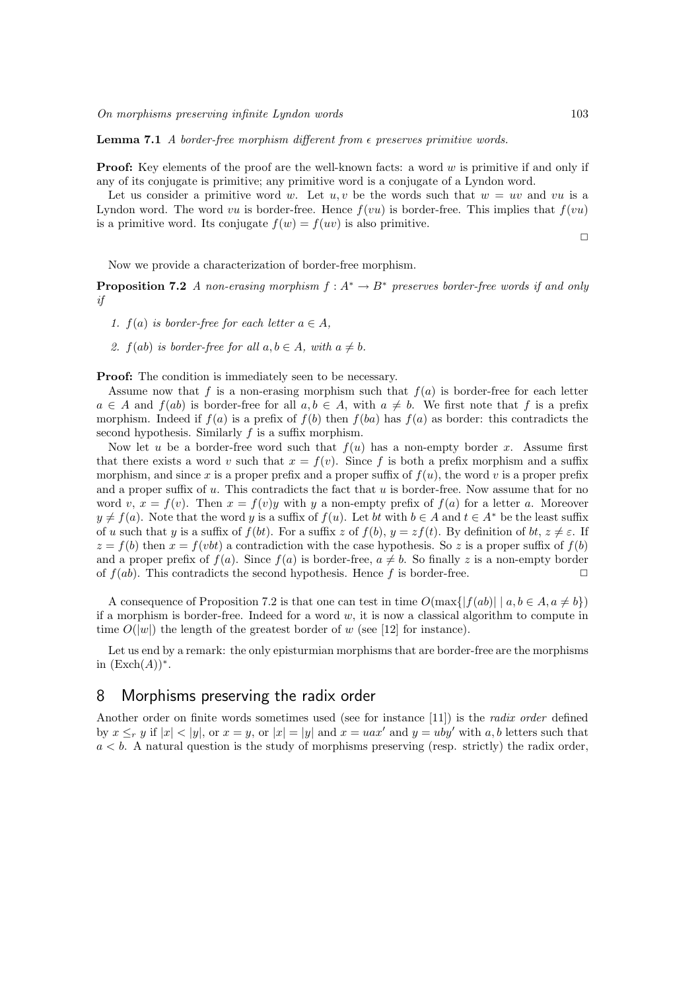**Lemma 7.1** A border-free morphism different from  $\epsilon$  preserves primitive words.

**Proof:** Key elements of the proof are the well-known facts: a word  $w$  is primitive if and only if any of its conjugate is primitive; any primitive word is a conjugate of a Lyndon word.

Let us consider a primitive word w. Let  $u, v$  be the words such that  $w = uv$  and vu is a Lyndon word. The word vu is border-free. Hence  $f(vu)$  is border-free. This implies that  $f(vu)$ is a primitive word. Its conjugate  $f(w) = f(uv)$  is also primitive.

 $\Box$ 

Now we provide a characterization of border-free morphism.

**Proposition 7.2** A non-erasing morphism  $f : A^* \to B^*$  preserves border-free words if and only if

1.  $f(a)$  is border-free for each letter  $a \in A$ .

2.  $f(ab)$  is border-free for all  $a, b \in A$ , with  $a \neq b$ .

**Proof:** The condition is immediately seen to be necessary.

Assume now that f is a non-erasing morphism such that  $f(a)$  is border-free for each letter  $a \in A$  and  $f(ab)$  is border-free for all  $a, b \in A$ , with  $a \neq b$ . We first note that f is a prefix morphism. Indeed if  $f(a)$  is a prefix of  $f(b)$  then  $f(ba)$  has  $f(a)$  as border: this contradicts the second hypothesis. Similarly  $f$  is a suffix morphism.

Now let u be a border-free word such that  $f(u)$  has a non-empty border x. Assume first that there exists a word v such that  $x = f(v)$ . Since f is both a prefix morphism and a suffix morphism, and since x is a proper prefix and a proper suffix of  $f(u)$ , the word v is a proper prefix and a proper suffix of  $u$ . This contradicts the fact that  $u$  is border-free. Now assume that for no word v,  $x = f(v)$ . Then  $x = f(v)y$  with y a non-empty prefix of  $f(a)$  for a letter a. Moreover  $y \neq f(a)$ . Note that the word y is a suffix of  $f(u)$ . Let bt with  $b \in A$  and  $t \in A^*$  be the least suffix of u such that y is a suffix of  $f(bt)$ . For a suffix z of  $f(b)$ ,  $y = z f(t)$ . By definition of  $bt, z \neq \varepsilon$ . If  $z = f(b)$  then  $x = f(vbt)$  a contradiction with the case hypothesis. So z is a proper suffix of  $f(b)$ and a proper prefix of  $f(a)$ . Since  $f(a)$  is border-free,  $a \neq b$ . So finally z is a non-empty border of  $f(ab)$ . This contradicts the second hypothesis. Hence f is border-free.

A consequence of Proposition 7.2 is that one can test in time  $O(\max\{|f(ab)| \mid a, b \in A, a \neq b\})$ if a morphism is border-free. Indeed for a word  $w$ , it is now a classical algorithm to compute in time  $O(|w|)$  the length of the greatest border of w (see [12] for instance).

Let us end by a remark: the only episturmian morphisms that are border-free are the morphisms in  $(\text{Exch}(A))^*$ .

### 8 Morphisms preserving the radix order

Another order on finite words sometimes used (see for instance [11]) is the radix order defined by  $x \leq_r y$  if  $|x| < |y|$ , or  $x = y$ , or  $|x| = |y|$  and  $x = uax'$  and  $y = uby'$  with a, b letters such that  $a < b$ . A natural question is the study of morphisms preserving (resp. strictly) the radix order,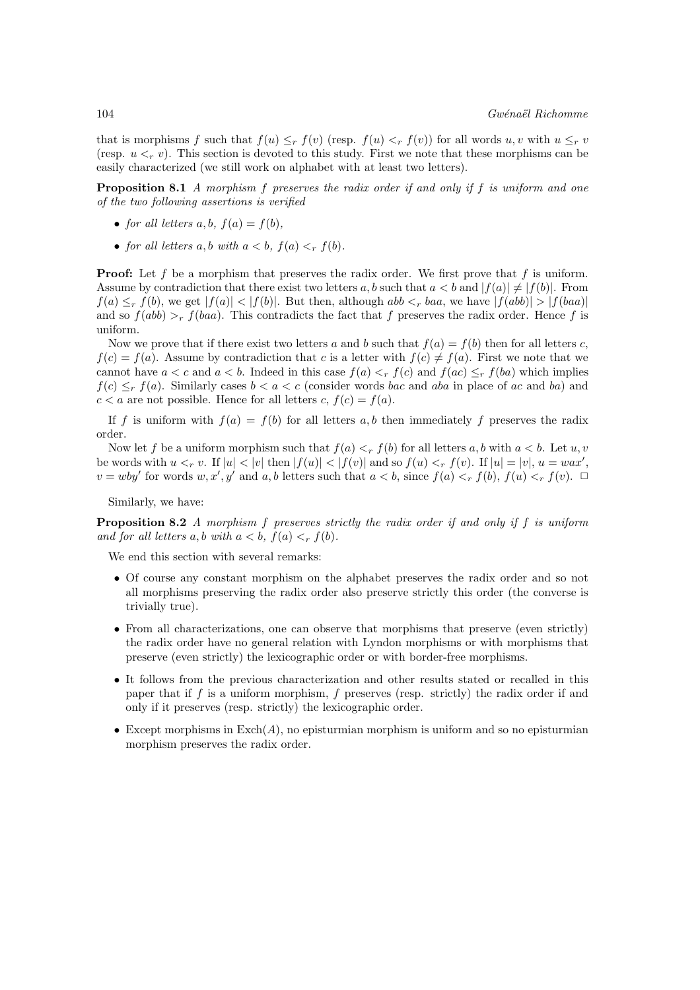that is morphisms f such that  $f(u) \leq_r f(v)$  (resp.  $f(u) <_r f(v)$ ) for all words u, v with  $u \leq_r v$ (resp.  $u <_r v$ ). This section is devoted to this study. First we note that these morphisms can be easily characterized (we still work on alphabet with at least two letters).

Proposition 8.1 A morphism f preserves the radix order if and only if f is uniform and one of the two following assertions is verified

- for all letters  $a, b, f(a) = f(b)$ ,
- for all letters a, b with  $a < b$ ,  $f(a) <_r f(b)$ .

**Proof:** Let f be a morphism that preserves the radix order. We first prove that f is uniform. Assume by contradiction that there exist two letters a, b such that  $a < b$  and  $|f(a)| \neq |f(b)|$ . From  $f(a) \leq_r f(b)$ , we get  $|f(a)| < |f(b)|$ . But then, although abb  $\leq_r ba$ , we have  $|f(abb)| > |f(baa)|$ and so  $f(ab) >r f(baa)$ . This contradicts the fact that f preserves the radix order. Hence f is uniform.

Now we prove that if there exist two letters a and b such that  $f(a) = f(b)$  then for all letters c,  $f(c) = f(a)$ . Assume by contradiction that c is a letter with  $f(c) \neq f(a)$ . First we note that we cannot have  $a < c$  and  $a < b$ . Indeed in this case  $f(a) <_r f(c)$  and  $f(ac) \leq_r f(ba)$  which implies  $f(c) \leq_r f(a)$ . Similarly cases  $b < a < c$  (consider words bac and aba in place of ac and ba) and  $c < a$  are not possible. Hence for all letters c,  $f(c) = f(a)$ .

If f is uniform with  $f(a) = f(b)$  for all letters a, b then immediately f preserves the radix order.

Now let f be a uniform morphism such that  $f(a) <_r f(b)$  for all letters a, b with  $a < b$ . Let u, v be words with  $u <_r v$ . If  $|u| < |v|$  then  $|f(u)| < |f(v)|$  and so  $f(u) <_r f(v)$ . If  $|u| = |v|$ ,  $u = wax'$ ,  $v = wby'$  for words  $w, x', y'$  and  $a, b$  letters such that  $a < b$ , since  $f(a) <_r f(b)$ ,  $f(u) <_r f(v)$ .  $\Box$ 

Similarly, we have:

Proposition 8.2 A morphism f preserves strictly the radix order if and only if f is uniform and for all letters a, b with  $a < b$ ,  $f(a) <_r f(b)$ .

We end this section with several remarks:

- Of course any constant morphism on the alphabet preserves the radix order and so not all morphisms preserving the radix order also preserve strictly this order (the converse is trivially true).
- From all characterizations, one can observe that morphisms that preserve (even strictly) the radix order have no general relation with Lyndon morphisms or with morphisms that preserve (even strictly) the lexicographic order or with border-free morphisms.
- It follows from the previous characterization and other results stated or recalled in this paper that if  $f$  is a uniform morphism,  $f$  preserves (resp. strictly) the radix order if and only if it preserves (resp. strictly) the lexicographic order.
- Except morphisms in  $\text{Exch}(A)$ , no episturmian morphism is uniform and so no episturmian morphism preserves the radix order.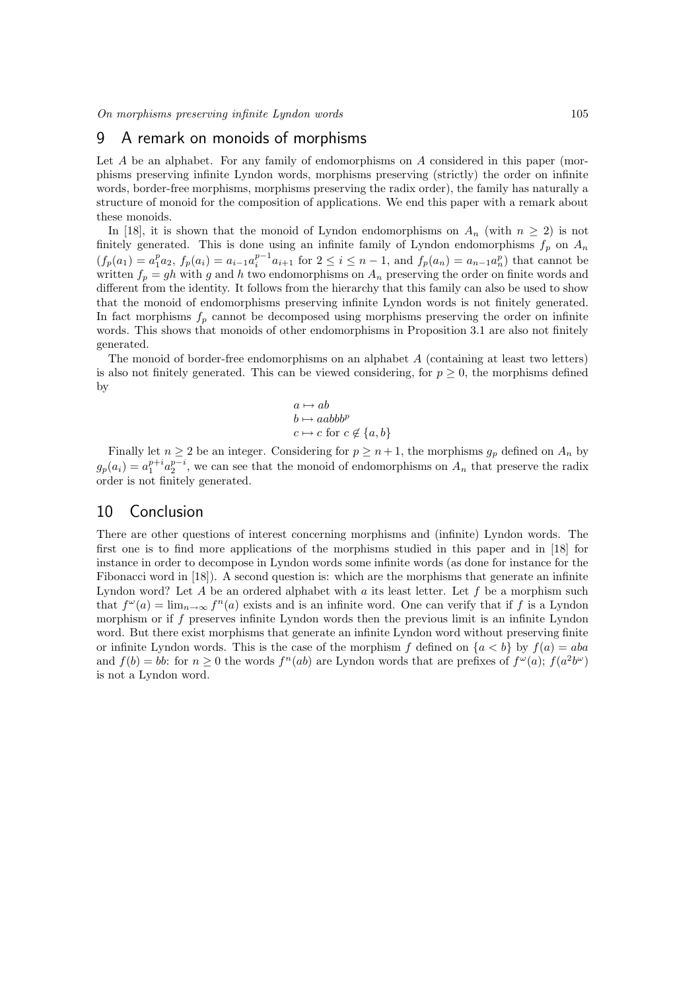### 9 A remark on monoids of morphisms

Let  $A$  be an alphabet. For any family of endomorphisms on  $A$  considered in this paper (morphisms preserving infinite Lyndon words, morphisms preserving (strictly) the order on infinite words, border-free morphisms, morphisms preserving the radix order), the family has naturally a structure of monoid for the composition of applications. We end this paper with a remark about these monoids.

In [18], it is shown that the monoid of Lyndon endomorphisms on  $A_n$  (with  $n \geq 2$ ) is not finitely generated. This is done using an infinite family of Lyndon endomorphisms  $f_p$  on  $A_n$  $(f_p(a_1) = a_1^p a_2, f_p(a_i) = a_{i-1} a_i^{p-1} a_{i+1}$  for  $2 \le i \le n-1$ , and  $f_p(a_n) = a_{n-1} a_n^p$  that cannot be written  $f_p = gh$  with g and h two endomorphisms on  $A_n$  preserving the order on finite words and different from the identity. It follows from the hierarchy that this family can also be used to show that the monoid of endomorphisms preserving infinite Lyndon words is not finitely generated. In fact morphisms  $f_p$  cannot be decomposed using morphisms preserving the order on infinite words. This shows that monoids of other endomorphisms in Proposition 3.1 are also not finitely generated.

The monoid of border-free endomorphisms on an alphabet A (containing at least two letters) is also not finitely generated. This can be viewed considering, for  $p \geq 0$ , the morphisms defined by

$$
a \mapsto ab b \mapsto aabbbp c \mapsto c \text{ for } c \notin \{a, b\}
$$

Finally let  $n \geq 2$  be an integer. Considering for  $p \geq n+1$ , the morphisms  $g_p$  defined on  $A_n$  by  $g_p(a_i) = a_1^{p+i} a_2^{p-i}$ , we can see that the monoid of endomorphisms on  $A_n$  that preserve the radix order is not finitely generated.

### 10 Conclusion

There are other questions of interest concerning morphisms and (infinite) Lyndon words. The first one is to find more applications of the morphisms studied in this paper and in [18] for instance in order to decompose in Lyndon words some infinite words (as done for instance for the Fibonacci word in [18]). A second question is: which are the morphisms that generate an infinite Lyndon word? Let A be an ordered alphabet with a its least letter. Let  $f$  be a morphism such that  $f^{\omega}(a) = \lim_{n \to \infty} f^{n}(a)$  exists and is an infinite word. One can verify that if f is a Lyndon morphism or if f preserves infinite Lyndon words then the previous limit is an infinite Lyndon word. But there exist morphisms that generate an infinite Lyndon word without preserving finite or infinite Lyndon words. This is the case of the morphism f defined on  $\{a < b\}$  by  $f(a) = aba$ and  $f(b) = bb$ : for  $n \geq 0$  the words  $f^{n}(ab)$  are Lyndon words that are prefixes of  $f^{\omega}(a)$ ;  $f(a^2b^{\omega})$ is not a Lyndon word.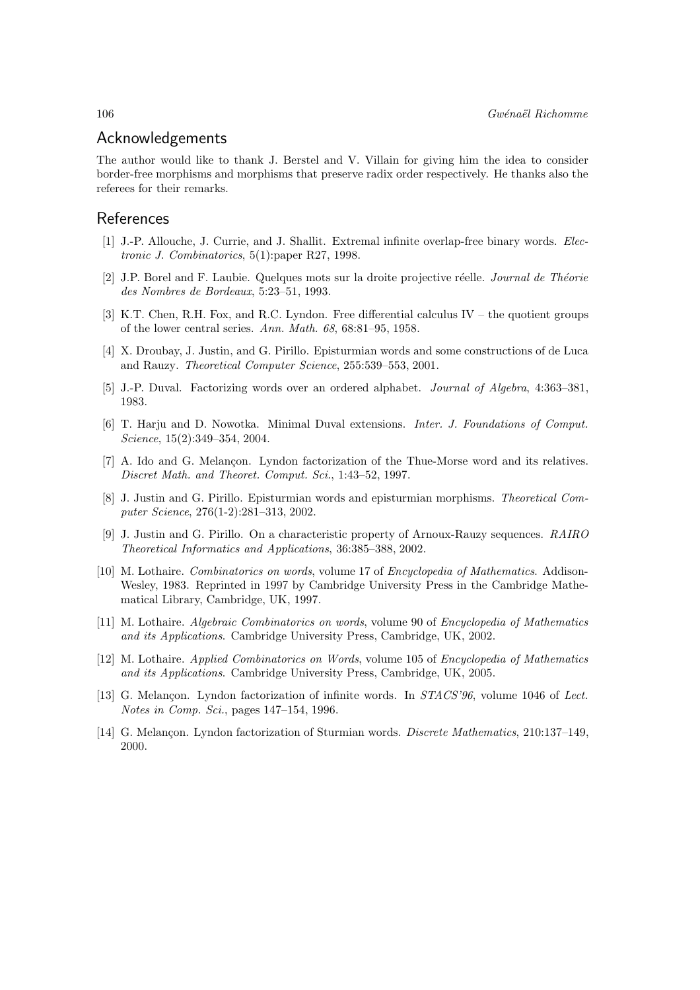### Acknowledgements

The author would like to thank J. Berstel and V. Villain for giving him the idea to consider border-free morphisms and morphisms that preserve radix order respectively. He thanks also the referees for their remarks.

### References

- [1] J.-P. Allouche, J. Currie, and J. Shallit. Extremal infinite overlap-free binary words. Electronic J. Combinatorics, 5(1):paper R27, 1998.
- [2] J.P. Borel and F. Laubie. Quelques mots sur la droite projective réelle. *Journal de Théorie* des Nombres de Bordeaux, 5:23–51, 1993.
- [3] K.T. Chen, R.H. Fox, and R.C. Lyndon. Free differential calculus IV the quotient groups of the lower central series. Ann. Math. 68, 68:81–95, 1958.
- [4] X. Droubay, J. Justin, and G. Pirillo. Episturmian words and some constructions of de Luca and Rauzy. Theoretical Computer Science, 255:539–553, 2001.
- [5] J.-P. Duval. Factorizing words over an ordered alphabet. Journal of Algebra, 4:363–381, 1983.
- [6] T. Harju and D. Nowotka. Minimal Duval extensions. Inter. J. Foundations of Comput. Science, 15(2):349–354, 2004.
- [7] A. Ido and G. Melançon. Lyndon factorization of the Thue-Morse word and its relatives. Discret Math. and Theoret. Comput. Sci., 1:43–52, 1997.
- [8] J. Justin and G. Pirillo. Episturmian words and episturmian morphisms. Theoretical Computer Science, 276(1-2):281–313, 2002.
- [9] J. Justin and G. Pirillo. On a characteristic property of Arnoux-Rauzy sequences. RAIRO Theoretical Informatics and Applications, 36:385–388, 2002.
- [10] M. Lothaire. Combinatorics on words, volume 17 of Encyclopedia of Mathematics. Addison-Wesley, 1983. Reprinted in 1997 by Cambridge University Press in the Cambridge Mathematical Library, Cambridge, UK, 1997.
- [11] M. Lothaire. Algebraic Combinatorics on words, volume 90 of Encyclopedia of Mathematics and its Applications. Cambridge University Press, Cambridge, UK, 2002.
- [12] M. Lothaire. Applied Combinatorics on Words, volume 105 of Encyclopedia of Mathematics and its Applications. Cambridge University Press, Cambridge, UK, 2005.
- [13] G. Melançon. Lyndon factorization of infinite words. In  $STACS<sup>296</sup>$ , volume 1046 of Lect. Notes in Comp. Sci., pages 147–154, 1996.
- [14] G. Melancon. Lyndon factorization of Sturmian words. *Discrete Mathematics*, 210:137-149, 2000.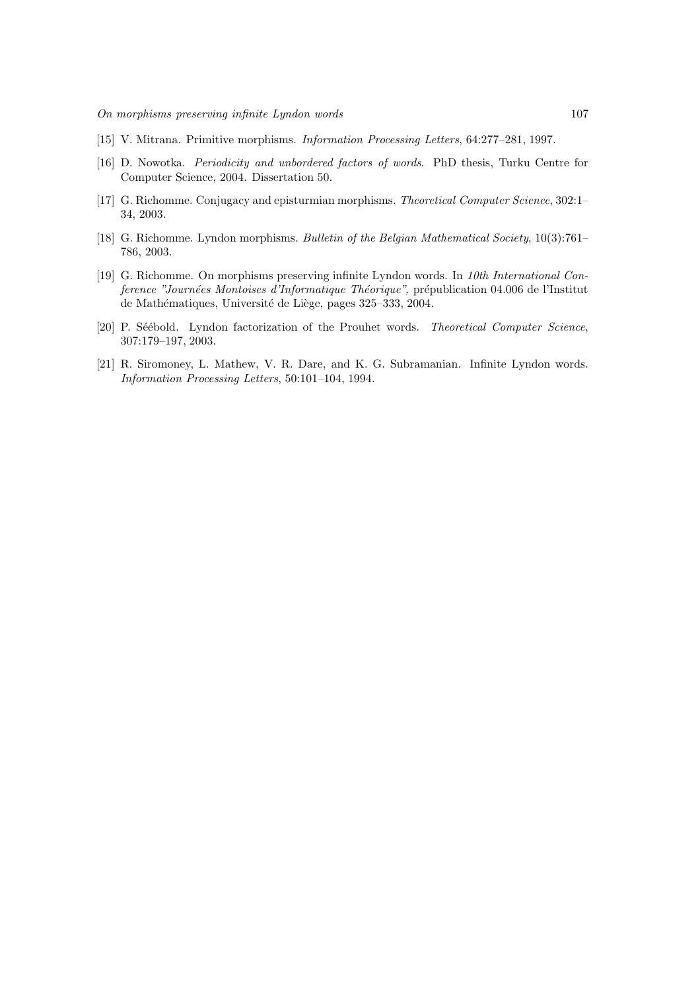- [15] V. Mitrana. Primitive morphisms. Information Processing Letters, 64:277–281, 1997.
- [16] D. Nowotka. Periodicity and unbordered factors of words. PhD thesis, Turku Centre for Computer Science, 2004. Dissertation 50.
- [17] G. Richomme. Conjugacy and episturmian morphisms. Theoretical Computer Science, 302:1– 34, 2003.
- [18] G. Richomme. Lyndon morphisms. Bulletin of the Belgian Mathematical Society, 10(3):761– 786, 2003.
- [19] G. Richomme. On morphisms preserving infinite Lyndon words. In 10th International Conference "Journées Montoises d'Informatique Théorique", prépublication 04.006 de l'Institut de Mathématiques, Université de Liège, pages 325–333, 2004.
- [20] P. Séébold. Lyndon factorization of the Prouhet words. Theoretical Computer Science, 307:179–197, 2003.
- [21] R. Siromoney, L. Mathew, V. R. Dare, and K. G. Subramanian. Infinite Lyndon words. Information Processing Letters, 50:101–104, 1994.